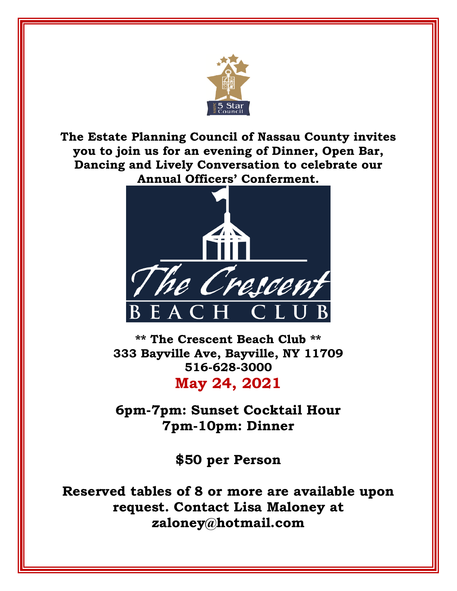

**The Estate Planning Council of Nassau County invites you to join us for an evening of Dinner, Open Bar, Dancing and Lively Conversation to celebrate our Annual Officers' Conferment.**



**\*\* The Crescent Beach Club \*\* 333 Bayville Ave, Bayville, NY 11709 516-628-3000 May 24, 2021**

**6pm-7pm: Sunset Cocktail Hour 7pm-10pm: Dinner**

**\$50 per Person**

**Reserved tables of 8 or more are available upon request. Contact Lisa Maloney at zaloney@hotmail.com**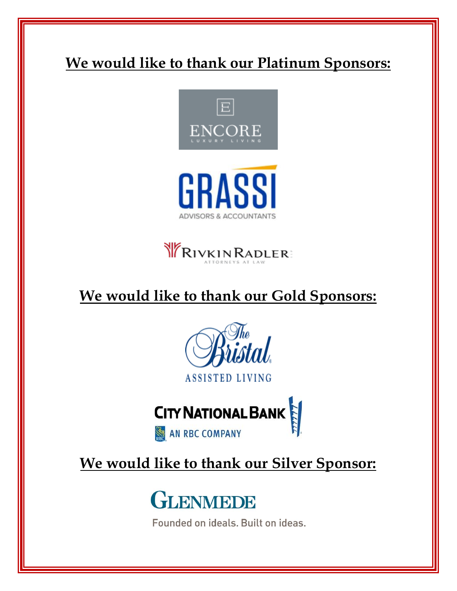# **We would like to thank our Platinum Sponsors:**







## **We would like to thank our Gold Sponsors:**





## **We would like to thank our Silver Sponsor:**



Founded on ideals. Built on ideas.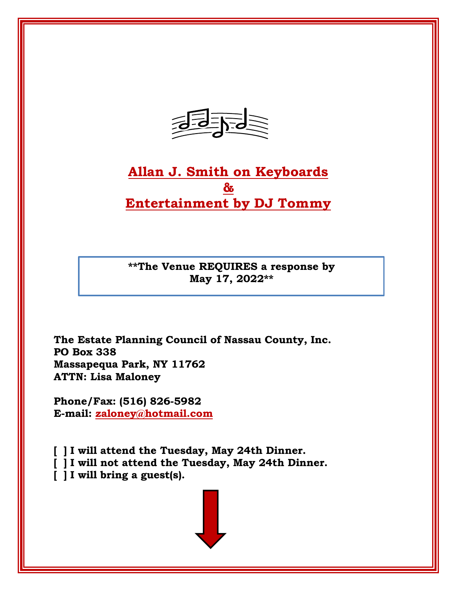

## **Allan J. Smith on Keyboards & Entertainment by DJ Tommy**

**\*\*The Venue REQUIRES a response by May 17, 2022\*\***

**The Estate Planning Council of Nassau County, Inc. PO Box 338 Massapequa Park, NY 11762 ATTN: Lisa Maloney**

**Phone/Fax: (516) 826-5982 E-mail: [zaloney@hotmail.com](mailto:zaloney@hotmail.com)**

**[ ] I will attend the Tuesday, May 24th Dinner.**

**[ ] I will not attend the Tuesday, May 24th Dinner.**

**[ ] I will bring a guest(s).**